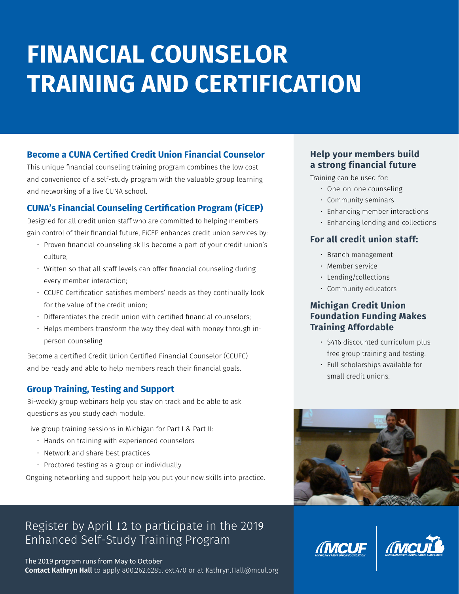# **FINANCIAL COUNSELOR TRAINING AND CERTIFICATION**

## **Become a CUNA Certified Credit Union Financial Counselor**

This unique financial counseling training program combines the low cost and convenience of a self-study program with the valuable group learning and networking of a live CUNA school.

## **CUNA's Financial Counseling Certification Program (FiCEP)**

Designed for all credit union staff who are committed to helping members gain control of their financial future, FiCEP enhances credit union services by:

- Proven financial counseling skills become a part of your credit union's culture;
- Written so that all staff levels can offer financial counseling during every member interaction;
- CCUFC Certification satisfies members' needs as they continually look for the value of the credit union;
- Differentiates the credit union with certified financial counselors;
- Helps members transform the way they deal with money through inperson counseling.

Become a certified Credit Union Certified Financial Counselor (CCUFC) and be ready and able to help members reach their financial goals.

## **Group Training, Testing and Support**

Bi-weekly group webinars help you stay on track and be able to ask questions as you study each module.

Live group training sessions in Michigan for Part I & Part II:

- Hands-on training with experienced counselors
- Network and share best practices
- Proctored testing as a group or individually

Ongoing networking and support help you put your new skills into practice.

# Register by April 12 to participate in the 2019 Enhanced Self-Study Training Program

The 2019 program runs from May to October **Contact Kathryn Hall** to apply 800.262.6285, ext.470 or at Kathryn.Hall@mcul.org

#### **Help your members build a strong financial future**

Training can be used for:

- One-on-one counseling
- Community seminars
- Enhancing member interactions
- Enhancing lending and collections

#### **For all credit union staff:**

- Branch management
- Member service
- Lending/collections
- Community educators

#### **Michigan Credit Union Foundation Funding Makes Training Affordable**

- \$416 discounted curriculum plus free group training and testing.
- Full scholarships available for small credit unions.